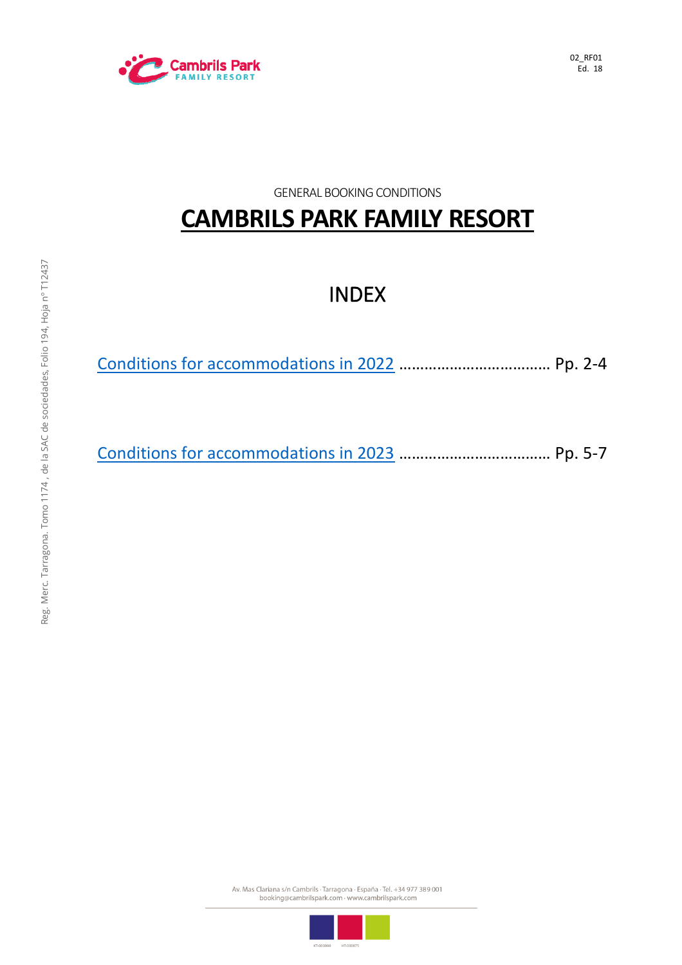

02\_RF01 Ed. 18

GENERAL BOOKING CONDITIONS

# **CAMBRILS PARK FAMILY RESORT**

## INDEX

[Conditions for accommodations in 2022](#page-1-0) ……………………………… Pp. 2-4

[Conditions for accommodations in 2023](#page-3-0) ……………………………… Pp. 5-7

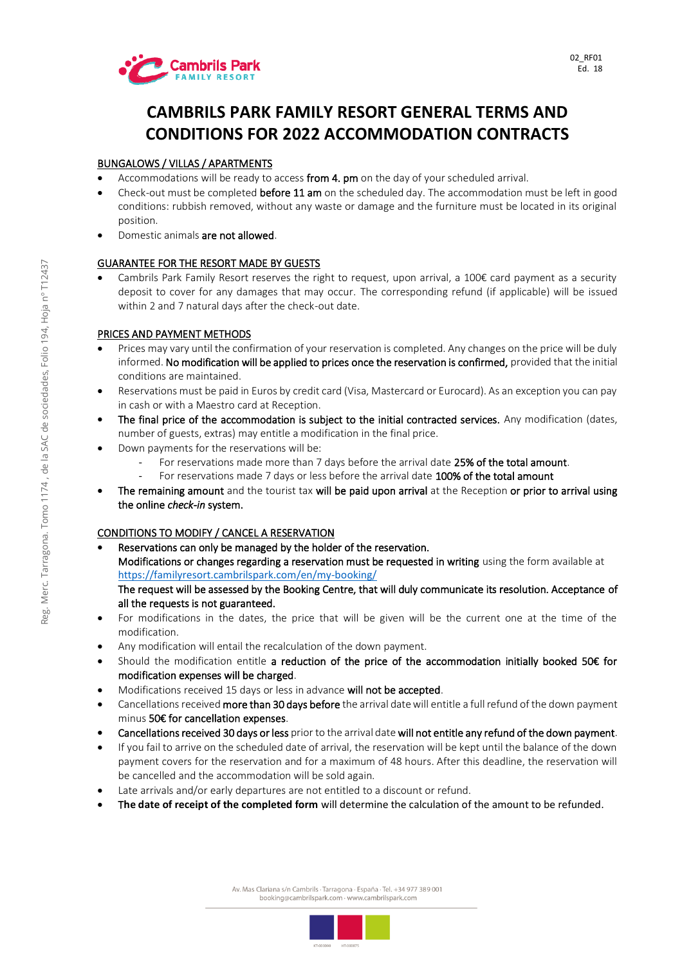

### <span id="page-1-0"></span>**CAMBRILS PARK FAMILY RESORT GENERAL TERMS AND CONDITIONS FOR 2022 ACCOMMODATION CONTRACTS**

### BUNGALOWS / VILLAS / APARTMENTS

- Accommodations will be ready to access from 4. pm on the day of your scheduled arrival.
- Check-out must be completed before 11 am on the scheduled day. The accommodation must be left in good conditions: rubbish removed, without any waste or damage and the furniture must be located in its original position.
- Domestic animals are not allowed.

### GUARANTEE FOR THE RESORT MADE BY GUESTS

• Cambrils Park Family Resort reserves the right to request, upon arrival, a 100€ card payment as a security deposit to cover for any damages that may occur. The corresponding refund (if applicable) will be issued within 2 and 7 natural days after the check-out date.

### PRICES AND PAYMENT METHODS

- Prices may vary until the confirmation of your reservation is completed. Any changes on the price will be duly informed. No modification will be applied to prices once the reservation is confirmed, provided that the initial conditions are maintained.
- Reservations must be paid in Euros by credit card (Visa, Mastercard or Eurocard). As an exception you can pay in cash or with a Maestro card at Reception.
- The final price of the accommodation is subject to the initial contracted services. Any modification (dates, number of guests, extras) may entitle a modification in the final price.
- Down payments for the reservations will be:
	- For reservations made more than 7 days before the arrival date 25% of the total amount.
	- For reservations made 7 days or less before the arrival date 100% of the total amount
- The remaining amount and the tourist tax will be paid upon arrival at the Reception or prior to arrival using the online *check-in* system.

#### CONDITIONS TO MODIFY / CANCEL A RESERVATION

- Reservations can only be managed by the holder of the reservation. Modifications or changes regarding a reservation must be requested in writing using the form available at <https://familyresort.cambrilspark.com/en/my-booking/> The request will be assessed by the Booking Centre, that will duly communicate its resolution. Acceptance of all the requests is not guaranteed.
- For modifications in the dates, the price that will be given will be the current one at the time of the modification.
- Any modification will entail the recalculation of the down payment.
- Should the modification entitle a reduction of the price of the accommodation initially booked 50€ for modification expenses will be charged.
- Modifications received 15 days or less in advance will not be accepted.
- Cancellations received more than 30 days before the arrival date will entitle a full refund of the down payment minus 50€ for cancellation expenses.
- Cancellations received 30 days or less prior to the arrival date will not entitle any refund of the down payment.
- If you fail to arrive on the scheduled date of arrival, the reservation will be kept until the balance of the down payment covers for the reservation and for a maximum of 48 hours. After this deadline, the reservation will be cancelled and the accommodation will be sold again.
- Late arrivals and/or early departures are not entitled to a discount or refund.
- T**he date of receipt of the completed form** will determine the calculation of the amount to be refunded.

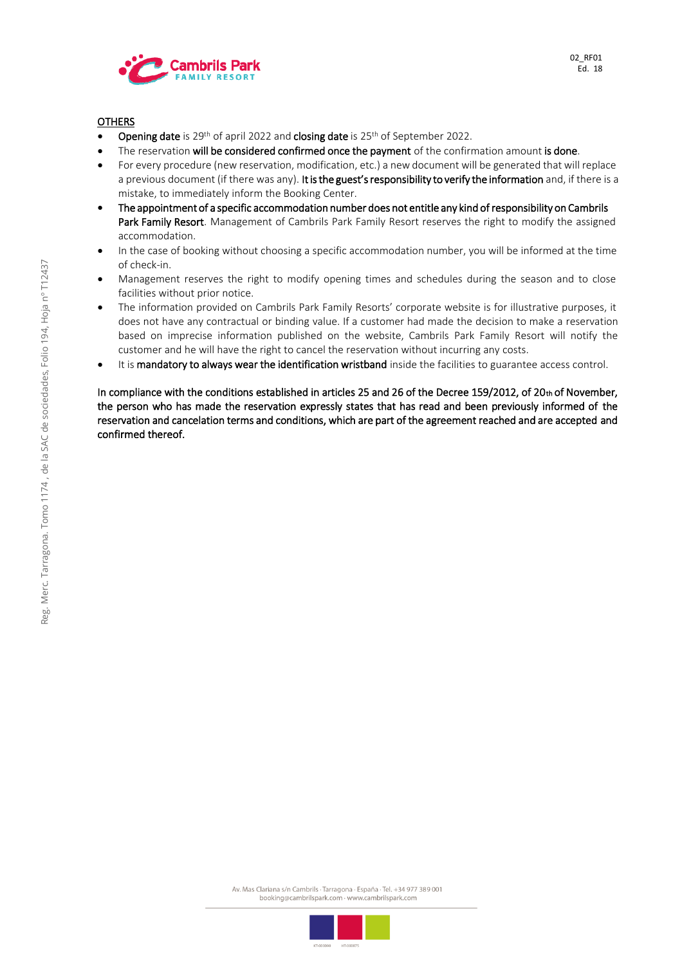

### OTHERS

- Opening date is 29<sup>th</sup> of april 2022 and closing date is 25<sup>th</sup> of September 2022.
- The reservation will be considered confirmed once the payment of the confirmation amount is done.
- For every procedure (new reservation, modification, etc.) a new document will be generated that will replace a previous document (if there was any). It is the guest's responsibility to verify the information and, if there is a mistake, to immediately inform the Booking Center.
- The appointment of a specific accommodation number does not entitle any kind of responsibility on Cambrils Park Family Resort. Management of Cambrils Park Family Resort reserves the right to modify the assigned accommodation.
- In the case of booking without choosing a specific accommodation number, you will be informed at the time of check-in.
- Management reserves the right to modify opening times and schedules during the season and to close facilities without prior notice.
- The information provided on Cambrils Park Family Resorts' corporate website is for illustrative purposes, it does not have any contractual or binding value. If a customer had made the decision to make a reservation based on imprecise information published on the website, Cambrils Park Family Resort will notify the customer and he will have the right to cancel the reservation without incurring any costs.
- It is mandatory to always wear the identification wristband inside the facilities to guarantee access control.

In compliance with the conditions established in articles 25 and 26 of the Decree 159/2012, of 20th of November, the person who has made the reservation expressly states that has read and been previously informed of the reservation and cancelation terms and conditions, which are part of the agreement reached and are accepted and confirmed thereof.

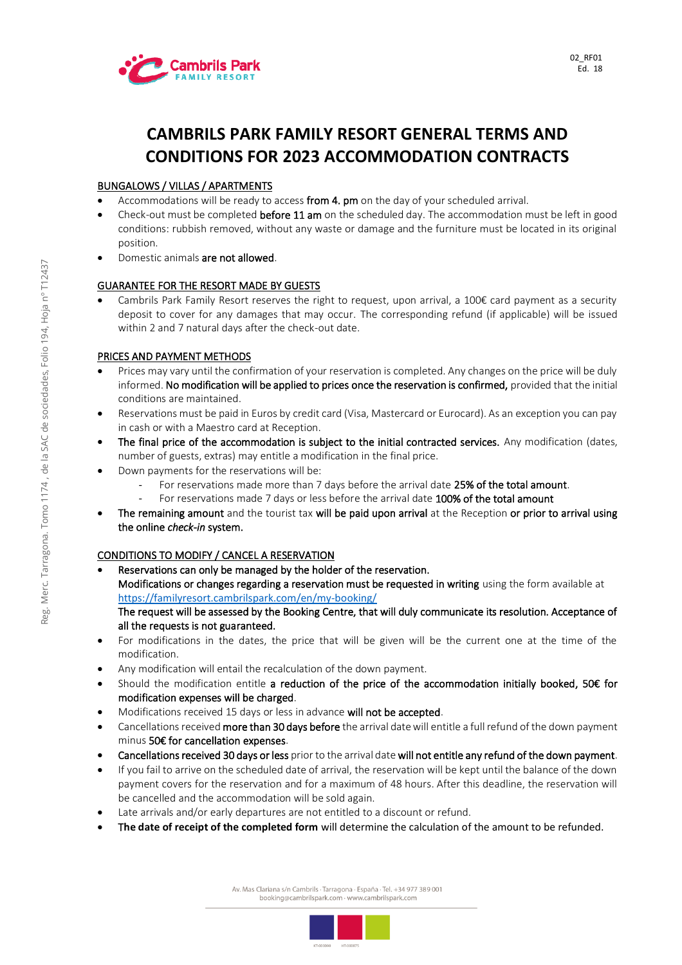

### <span id="page-3-0"></span>**CAMBRILS PARK FAMILY RESORT GENERAL TERMS AND CONDITIONS FOR 2023 ACCOMMODATION CONTRACTS**

### BUNGALOWS / VILLAS / APARTMENTS

- Accommodations will be ready to access from 4. pm on the day of your scheduled arrival.
- Check-out must be completed **before 11 am** on the scheduled day. The accommodation must be left in good conditions: rubbish removed, without any waste or damage and the furniture must be located in its original position.
- Domestic animals are not allowed.

### GUARANTEE FOR THE RESORT MADE BY GUESTS

• Cambrils Park Family Resort reserves the right to request, upon arrival, a 100€ card payment as a security deposit to cover for any damages that may occur. The corresponding refund (if applicable) will be issued within 2 and 7 natural days after the check-out date.

### PRICES AND PAYMENT METHODS

- Prices may vary until the confirmation of your reservation is completed. Any changes on the price will be duly informed. No modification will be applied to prices once the reservation is confirmed, provided that the initial conditions are maintained.
- Reservations must be paid in Euros by credit card (Visa, Mastercard or Eurocard). As an exception you can pay in cash or with a Maestro card at Reception.
- The final price of the accommodation is subject to the initial contracted services. Any modification (dates, number of guests, extras) may entitle a modification in the final price.
- Down payments for the reservations will be:
	- For reservations made more than 7 days before the arrival date 25% of the total amount.
	- For reservations made 7 days or less before the arrival date 100% of the total amount
- The remaining amount and the tourist tax will be paid upon arrival at the Reception or prior to arrival using the online *check-in* system.

### CONDITIONS TO MODIFY / CANCEL A RESERVATION

Reservations can only be managed by the holder of the reservation. Modifications or changes regarding a reservation must be requested in writing using the form available at <https://familyresort.cambrilspark.com/en/my-booking/>

### The request will be assessed by the Booking Centre, that will duly communicate its resolution. Acceptance of all the requests is not guaranteed.

- For modifications in the dates, the price that will be given will be the current one at the time of the modification.
- Any modification will entail the recalculation of the down payment.
- Should the modification entitle a reduction of the price of the accommodation initially booked, 50€ for modification expenses will be charged.
- Modifications received 15 days or less in advance will not be accepted.
- Cancellations received more than 30 days before the arrival date will entitle a full refund of the down payment minus 50€ for cancellation expenses.
- Cancellations received 30 days or less prior to the arrival date will not entitle any refund of the down payment.
- If you fail to arrive on the scheduled date of arrival, the reservation will be kept until the balance of the down payment covers for the reservation and for a maximum of 48 hours. After this deadline, the reservation will be cancelled and the accommodation will be sold again.
- Late arrivals and/or early departures are not entitled to a discount or refund.
- T**he date of receipt of the completed form** will determine the calculation of the amount to be refunded.